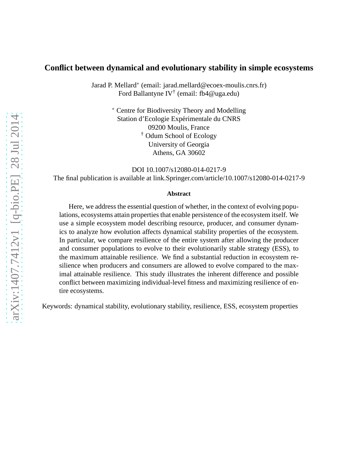## **Conflict between dynamical and evolutionary stability in simple ecosystems**

Jarad P. Mellard<sup>∗</sup> (email: jarad.mellard@ecoex-moulis.cnrs.fr) Ford Ballantyne IV† (email: fb4@uga.edu)

> <sup>∗</sup> Centre for Biodiversity Theory and Modelling Station d'Ecologie Expérimentale du CNRS 09200 Moulis, France † Odum School of Ecology University of Georgia Athens, GA 30602

> > DOI 10.1007/s12080-014-0217-9

The final publication is available at link.Springer.com/article/10.1007/s12080-014-0217-9

#### **Abstract**

Here, we address the essential question of whether, in the context of evolving populations, ecosystems attain properties that enable persistence of the ecosystem itself. We use a simple ecosystem model describing resource, producer, and consumer dynamics to analyze how evolution affects dynamical stability properties of the ecosystem. In particular, we compare resilience of the entire system after allowing the producer and consumer populations to evolve to their evolutionarily stable strategy (ESS), to the maximum attainable resilience. We find a substantial reduction in ecosystem resilience when producers and consumers are allowed to evolve compared to the maximal attainable resilience. This study illustrates the inherent difference and possible conflict between maximizing individual-level fitness and maximizing resilience of entire ecosystems.

Keywords: dynamical stability, evolutionary stability, resilience, ESS, ecosystem properties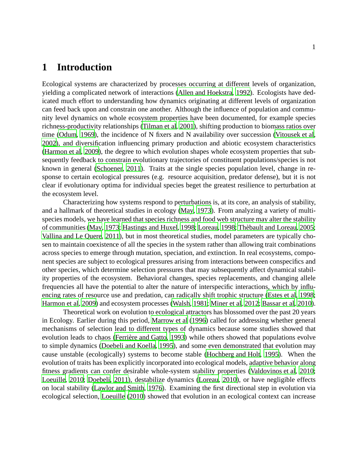## **1 Introduction**

Ecological systems are characterized by processes occurring at different levels of organization, yielding a complicated network of interactions [\(Allen and Hoekstra](#page-17-0), [1992\)](#page-17-0). Ecologists have dedicated much effort to understanding how dynamics originating at different levels of organization can feed back upon and constrain one another. Although the influence of population and community level dynamics on whole ecosystem properties have been documented, for example species richness-productivity relationships [\(Tilman et al, 2001](#page-20-0)), shifting production to biomass ratios over time [\(Odum, 1969\)](#page-19-0), the incidence of N fixers and N availability over succession [\(Vitousek et al,](#page-20-1) [2002\)](#page-20-1), and diversification influencing primary production and abiotic ecosystem characteristics [\(Harmon et al](#page-18-0), [2009\)](#page-18-0), the degree to which evolution shapes whole ecosystem properties that subsequently feedback to constrain evolutionary trajectories of constituent populations/species is not known in general [\(Schoener, 2011\)](#page-19-1). Traits at the single species population level, change in response to certain ecological pressures (e.g. resource acquisition, predator defense), but it is not clear if evolutionary optima for individual species beget the greatest resilience to perturbation at the ecosystem level.

Characterizing how systems respond to perturbations is, at its core, an analysis of stability, and a hallmark of theoretical studies in ecology [\(May, 1973](#page-19-2)). From analyzing a variety of multispecies models, we have learned that species richness and food web structure may alter the stability of communities [\(May](#page-19-2), [1973;](#page-19-2) [Hastings and Huxel, 1998](#page-18-1); [Loreau, 1998](#page-19-3); Thèbault and Loreau, [2005;](#page-20-2) [Vallina and Le Quere, 2011](#page-20-3)), but in most theoretical studies, model parameters are typically chosen to maintain coexistence of all the species in the system rather than allowing trait combinations across species to emerge through mutation, speciation, and extinction. In real ecosystems, component species are subject to ecological pressures arising from interactions between conspecifics and other species, which determine selection pressures that may subsequently affect dynamical stability properties of the ecosystem. Behavioral changes, species replacements, and changing allele frequencies all have the potential to alter the nature of interspecific interactions, which by influencing rates of resource use and predation, can radically shift trophic structure [\(Estes et al](#page-18-2), [1998;](#page-18-2) [Harmon et al](#page-18-0), [2009\)](#page-18-0) and ecosystem processes [\(Walsh, 1981;](#page-20-4) [Miner et al, 2012;](#page-19-4) [Bassar et al, 2010](#page-17-1)).

Theoretical work on evolution to ecological attractors has blossomed over the past 20 years in Ecology. Earlier during this period, [Marrow et al \(1996](#page-19-5)) called for addressing whether general mechanisms of selection lead to different types of dynamics because some studies showed that evolution leads to chaos (Ferrière and Gatto, 1993) while others showed that populations evolve to simple dynamics [\(Doebeli and Koella](#page-17-2), [1995](#page-17-2)), and some even demonstrated that evolution may cause unstable (ecologically) systems to become stable [\(Hochberg and Holt, 1995\)](#page-18-4). When the evolution of traits has been explicitly incorporated into ecological models, adaptive behavior along fitness gradients can confer desirable whole-system stability properties [\(Valdovinos et al](#page-20-5), [2010;](#page-20-5) [Loeuille, 2010;](#page-18-5) [Doebeli](#page-17-3), [2011](#page-17-3)), destabilize dynamics [\(Loreau, 2010\)](#page-19-6), or have negligible effects on local stability [\(Lawlor and Smith, 1976](#page-18-6)). Examining the first directional step in evolution via ecological selection, [Loeuille \(2010](#page-18-5)) showed that evolution in an ecological context can increase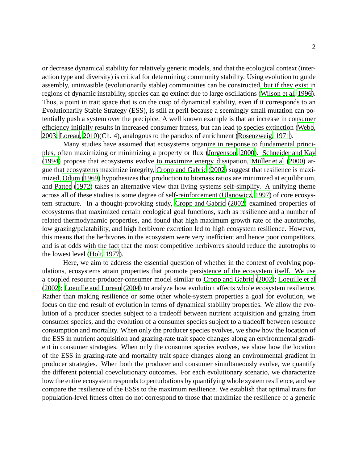or decrease dynamical stability for relatively generic models, and that the ecological context (interaction type and diversity) is critical for determining community stability. Using evolution to guide assembly, uninvasible (evolutionarily stable) communities can be constructed, but if they exist in regions of dynamic instability, species can go extinct due to large oscillations [\(Wilson et al](#page-20-6), [1996](#page-20-6)). Thus, a point in trait space that is on the cusp of dynamical stability, even if it corresponds to an Evolutionarily Stable Strategy (ESS), is still at peril because a seemingly small mutation can potentially push a system over the precipice. A well known example is that an increase in consumer efficiency initially results in increased consumer fitness, but can lead to species extinction [\(Webb](#page-20-7), [2003;](#page-20-7) [Loreau](#page-19-6), [2010\)](#page-19-6)(Ch. 4), analogous to the paradox of enrichment [\(Rosenzweig](#page-19-7), [1971](#page-19-7)).

Many studies have assumed that ecosystems organize in response to fundamental principles, often maximizing or minimizing a property or flux [\(Jorgenson](#page-18-7), [2000](#page-18-7)). [Schneider and Kay](#page-19-8)  $(1994)$  propose that ecosystems evolve to maximize energy dissipation, Müller et al  $(2000)$  argue that ecosystems maximize integrity, [Cropp and Gabric \(2002](#page-17-4)) suggest that resilience is maximized, [Odum](#page-19-0) [\(1969\)](#page-19-0) hypothesizes that production to biomass ratios are minimized at equilibrium, and [Pattee \(1972](#page-19-10)) takes an alternative view that living systems self-simplify. A unifying theme across all of these studies is some degree of self-reinforcement [\(Ulanowicz, 1997\)](#page-20-8) of core ecosystem structure. In a thought-provoking study, [Cropp and Gabric \(2002\)](#page-17-4) examined properties of ecosystems that maximized certain ecological goal functions, such as resilience and a number of related thermodynamic properties, and found that high maximum growth rate of the autotrophs, low grazing/palatability, and high herbivore excretion led to high ecosystem resilience. However, this means that the herbivores in the ecosystem were very inefficient and hence poor competitors, and is at odds with the fact that the most competitive herbivores should reduce the autotrophs to the lowest level [\(Holt, 1977](#page-18-8)).

Here, we aim to address the essential question of whether in the context of evolving populations, ecosystems attain properties that promote persistence of the ecosystem itself. We use a coupled resource-producer-consumer model similar to [Cropp and Gabric](#page-17-4) [\(2002\)](#page-17-4); [Loeuille et al](#page-19-11) [\(2002\)](#page-19-11); [Loeuille and Loreau](#page-18-9) [\(2004\)](#page-18-9) to analyze how evolution affects whole ecosystem resilience. Rather than making resilience or some other whole-system properties a goal for evolution, we focus on the end result of evolution in terms of dynamical stability properties. We allow the evolution of a producer species subject to a tradeoff between nutrient acquisition and grazing from consumer species, and the evolution of a consumer species subject to a tradeoff between resource consumption and mortality. When only the producer species evolves, we show how the location of the ESS in nutrient acquisition and grazing-rate trait space changes along an environmental gradient in consumer strategies. When only the consumer species evolves, we show how the location of the ESS in grazing-rate and mortality trait space changes along an environmental gradient in producer strategies. When both the producer and consumer simultaneously evolve, we quantify the different potential coevolutionary outcomes. For each evolutionary scenario, we characterize how the entire ecosystem responds to perturbations by quantifying whole system resilience, and we compare the resilience of the ESSs to the maximum resilience. We establish that optimal traits for population-level fitness often do not correspond to those that maximize the resilience of a generic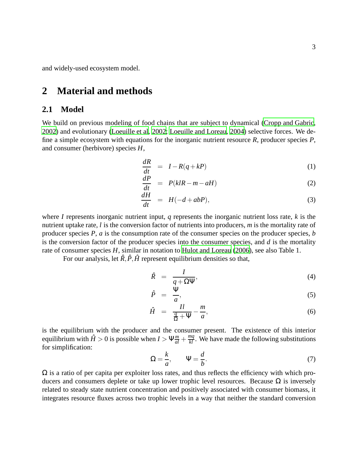and widely-used ecosystem model.

# **2 Material and methods**

### **2.1 Model**

We build on previous modeling of food chains that are subject to dynamical [\(Cropp and Gabric](#page-17-4), [2002\)](#page-17-4) and evolutionary [\(Loeuille et al, 2002;](#page-19-11) [Loeuille and Loreau](#page-18-9), [2004\)](#page-18-9) selective forces. We define a simple ecosystem with equations for the inorganic nutrient resource *R*, producer species *P*, and consumer (herbivore) species *H*,

$$
\frac{dR}{dt} = I - R(q + kP) \tag{1}
$$

$$
\frac{dP}{dt} = P(klR - m - aH) \tag{2}
$$

$$
\frac{dH}{dt} = H(-d + abP),\tag{3}
$$

where *I* represents inorganic nutrient input, *q* represents the inorganic nutrient loss rate, *k* is the nutrient uptake rate, *l* is the conversion factor of nutrients into producers, *m* is the mortality rate of producer species *P*, *a* is the consumption rate of the consumer species on the producer species, *b* is the conversion factor of the producer species into the consumer species, and *d* is the mortality rate of consumer species *H*, similar in notation to [Hulot and Loreau \(2006](#page-18-10)), see also Table 1.

For our analysis, let  $\hat{R}, \hat{P}, \hat{H}$  represent equilibrium densities so that,

$$
\hat{R} = \frac{I}{q + \Omega \Psi},\tag{4}
$$

$$
\hat{P} = \frac{\Psi}{a},\tag{5}
$$

$$
\hat{H} = \frac{Il}{\frac{q}{\Omega} + \Psi} - \frac{m}{a},\tag{6}
$$

<span id="page-3-0"></span>is the equilibrium with the producer and the consumer present. The existence of this interior equilibrium with  $\hat{H} > 0$  is possible when  $I > \Psi \frac{m}{al} + \frac{mq}{kl}$ . We have made the following substitutions for simplification:

$$
\Omega = \frac{k}{a}, \qquad \Psi = \frac{d}{b}.\tag{7}
$$

 $\Omega$  is a ratio of per capita per exploiter loss rates, and thus reflects the efficiency with which producers and consumers deplete or take up lower trophic level resources. Because  $Ω$  is inversely related to steady state nutrient concentration and positively associated with consumer biomass, it integrates resource fluxes across two trophic levels in a way that neither the standard conversion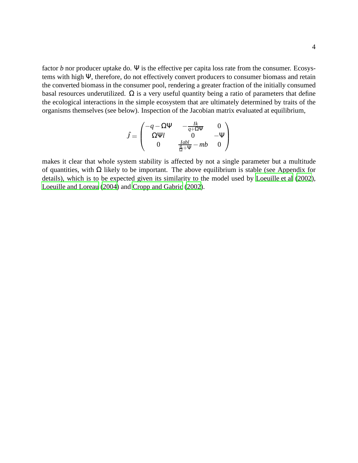factor *b* nor producer uptake do. Ψ is the effective per capita loss rate from the consumer. Ecosystems with high Ψ, therefore, do not effectively convert producers to consumer biomass and retain the converted biomass in the consumer pool, rendering a greater fraction of the initially consumed basal resources underutilized.  $\Omega$  is a very useful quantity being a ratio of parameters that define the ecological interactions in the simple ecosystem that are ultimately determined by traits of the organisms themselves (see below). Inspection of the Jacobian matrix evaluated at equilibrium,

$$
\hat{J} = \begin{pmatrix}\n-q - \Omega \Psi & -\frac{Ik}{q + \Omega \Psi} & 0 \\
\Omega \Psi l & 0 & -\Psi \\
0 & \frac{Iabl}{\frac{Q}{2} + \Psi} - mb & 0\n\end{pmatrix}
$$

makes it clear that whole system stability is affected by not a single parameter but a multitude of quantities, with  $\Omega$  likely to be important. The above equilibrium is stable (see Appendix for details), which is to be expected given its similarity to the model used by [Loeuille et al \(2002](#page-19-11)), [Loeuille and Loreau](#page-18-9) [\(2004\)](#page-18-9) and [Cropp and Gabric](#page-17-4) [\(2002\)](#page-17-4).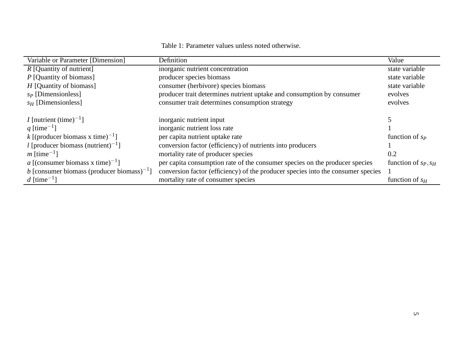| Table 1: Parameter values unless noted otherwise. |
|---------------------------------------------------|

| Variable or Parameter [Dimension]                      | Definition                                                                       | Value                  |
|--------------------------------------------------------|----------------------------------------------------------------------------------|------------------------|
| $R$ [Quantity of nutrient]                             | inorganic nutrient concentration                                                 | state variable         |
| $P$ [Quantity of biomass]                              | producer species biomass                                                         | state variable         |
| $H$ [Quantity of biomass]                              | consumer (herbivore) species biomass                                             | state variable         |
| $s_P$ [Dimensionless]                                  | producer trait determines nutrient uptake and consumption by consumer            | evolves                |
| $s_H$ [Dimensionless]                                  | consumer trait determines consumption strategy                                   | evolves                |
| <i>I</i> [nutrient (time) <sup>-1</sup> ]              | inorganic nutrient input                                                         |                        |
| q [time <sup>-1</sup> ]                                | inorganic nutrient loss rate                                                     |                        |
| k [(producer biomass x time) <sup>-1</sup> ]           | per capita nutrient uptake rate                                                  | function of $s_p$      |
| l [producer biomass (nutrient) <sup>-1</sup> ]         | conversion factor (efficiency) of nutrients into producers                       |                        |
| $m$ [time <sup>-1</sup> ]                              | mortality rate of producer species                                               | 0.2                    |
| a [(consumer biomass x time) <sup>-1</sup> ]           | per capita consumption rate of the consumer species on the producer species      | function of $s_P, s_H$ |
| b [consumer biomass (producer biomass) <sup>-1</sup> ] | conversion factor (efficiency) of the producer species into the consumer species |                        |
| d [time <sup>-1</sup> ]                                | mortality rate of consumer species                                               | function of $s_H$      |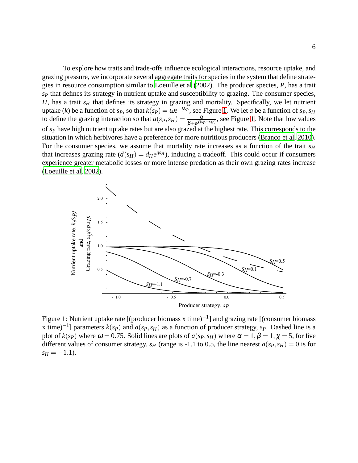To explore how traits and trade-offs influence ecological interactions, resource uptake, and grazing pressure, we incorporate several aggregate traits for species in the system that define strategies in resource consumption similar to [Loeuille et al \(2002](#page-19-11)). The producer species, *P*, has a trait *s<sup>P</sup>* that defines its strategy in nutrient uptake and susceptibility to grazing. The consumer species,  $H$ , has a trait  $s$ <sup>H</sup> that defines its strategy in grazing and mortality. Specifically, we let nutrient uptake (*k*) be a function of *s<sub>P</sub>*, so that  $k(sp) = \omega e^{-\gamma s_p}$ , see Figure [1.](#page-6-0) We let *a* be a function of *s<sub>P</sub>*, *s*<sub>*H*</sub> to define the grazing interaction so that  $a(s_P, s_H) = \frac{\alpha}{\beta + e^{\chi(s_P - s_H)}}$ , see Figure [1.](#page-6-0) Note that low values of *s<sup>P</sup>* have high nutrient uptake rates but are also grazed at the highest rate. This corresponds to the situation in which herbivores have a preference for more nutritious producers [\(Branco et al](#page-17-5), [2010](#page-17-5)). For the consumer species, we assume that mortality rate increases as a function of the trait *s<sup>H</sup>* that increases grazing rate  $(d(s_H) = d_H e^{gs_H})$ , inducing a tradeoff. This could occur if consumers experience greater metabolic losses or more intense predation as their own grazing rates increase [\(Loeuille et al](#page-19-11), [2002\)](#page-19-11).

<span id="page-6-0"></span>

Figure 1: Nutrient uptake rate [(producer biomass x time)<sup>-1</sup>] and grazing rate [(consumer biomass x time)−<sup>1</sup> ] parameters *k*(*sP*) and *a*(*sP*,*sH*) as a function of producer strategy, *sP*. Dashed line is a plot of  $k(sp)$  where  $\omega = 0.75$ . Solid lines are plots of  $a(sp, s_H)$  where  $\alpha = 1, \beta = 1, \chi = 5$ , for five different values of consumer strategy,  $s_H$  (range is -1.1 to 0.5, the line nearest  $a(s_P, s_H) = 0$  is for  $s_H = -1.1$ .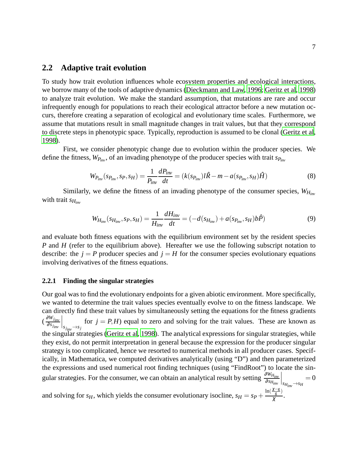### **2.2 Adaptive trait evolution**

To study how trait evolution influences whole ecosystem properties and ecological interactions, we borrow many of the tools of adaptive dynamics [\(Dieckmann and Law, 1996](#page-17-6); [Geritz et al](#page-18-11), [1998](#page-18-11)) to analyze trait evolution. We make the standard assumption, that mutations are rare and occur infrequently enough for populations to reach their ecological attractor before a new mutation occurs, therefore creating a separation of ecological and evolutionary time scales. Furthermore, we assume that mutations result in small magnitude changes in trait values, but that they correspond to discrete steps in phenotypic space. Typically, reproduction is assumed to be clonal [\(Geritz et al](#page-18-11), [1998\)](#page-18-11).

First, we consider phenotypic change due to evolution within the producer species. We define the fitness,  $W_{P_{inv}}$ , of an invading phenotype of the producer species with trait  $s_{P_{inv}}$ 

$$
W_{P_{inv}}(s_{P_{inv}}, s_P, s_H) = \frac{1}{P_{inv}} \frac{dP_{inv}}{dt} = (k(s_{P_{inv}})l\hat{R} - m - a(s_{P_{inv}}, s_H)\hat{H})
$$
(8)

Similarly, we define the fitness of an invading phenotype of the consumer species, *WHinv* with trait *sHinv*

$$
W_{H_{inv}}(s_{H_{inv}}, s_P, s_H) = \frac{1}{H_{inv}} \frac{dH_{inv}}{dt} = (-d(s_{H_{inv}}) + a(s_{P_{inv}}, s_H) b\hat{P})
$$
(9)

and evaluate both fitness equations with the equilibrium environment set by the resident species *P* and *H* (refer to the equilibrium above). Hereafter we use the following subscript notation to describe: the  $j = P$  producer species and  $j = H$  for the consumer species evolutionary equations involving derivatives of the fitness equations.

#### **2.2.1 Finding the singular strategies**

Our goal was to find the evolutionary endpoints for a given abiotic environment. More specifically, we wanted to determine the trait values species eventually evolve to on the fitness landscape. We can directly find these trait values by simultaneously setting the equations for the fitness gradients ( <sup>∂</sup>*Wj inv* <sup>∂</sup>*sj inv*  $\Big|_{s_{j_{inv}} \to s_j}$ for  $j = P$ , *H*) equal to zero and solving for the trait values. These are known as the singular strategies [\(Geritz et al](#page-18-11), [1998](#page-18-11)). The analytical expressions for singular strategies, while they exist, do not permit interpretation in general because the expression for the producer singular strategy is too complicated, hence we resorted to numerical methods in all producer cases. Specifically, in Mathematica, we computed derivatives analytically (using "D") and then parameterized the expressions and used numerical root finding techniques (using "FindRoot") to locate the singular strategies. For the consumer, we can obtain an analytical result by setting  $\frac{\partial W_{H_{inv}}}{\partial s_{H_{inv}}}$  $\Big|$ *sH<sub>inv</sub>* → *sH*  $= 0$ 

and solving for *s<sub>H</sub>*, which yields the consumer evolutionary isocline,  $s_H = s_P + \frac{\ln(\frac{\chi-g}{g})}{\chi}$  $rac{g}{\chi}$ .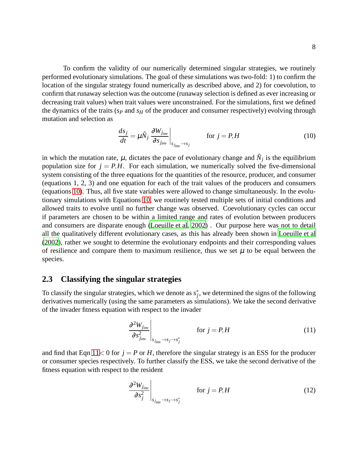To confirm the validity of our numerically determined singular strategies, we routinely performed evolutionary simulations. The goal of these simulations was two-fold: 1) to confirm the location of the singular strategy found numerically as described above, and 2) for coevolution, to confirm that runaway selection was the outcome (runaway selection is defined as ever increasing or decreasing trait values) when trait values were unconstrained. For the simulations, first we defined the dynamics of the traits (*s<sup>P</sup>* and *s<sup>H</sup>* of the producer and consumer respectively) evolving through mutation and selection as

<span id="page-8-0"></span>
$$
\frac{ds_j}{dt} = \mu \hat{N}_j \left. \frac{\partial W_{j_{inv}}}{\partial s_{j_{inv}}} \right|_{s_{j_{inv}} \to s_j} \qquad \text{for } j = P, H \tag{10}
$$

in which the mutation rate,  $\mu$ , dictates the pace of evolutionary change and  $\hat{N}_j$  is the equilibrium population size for  $j = P$ ,*H*. For each simulation, we numerically solved the five-dimensional system consisting of the three equations for the quantities of the resource, producer, and consumer (equations 1, 2, 3) and one equation for each of the trait values of the producers and consumers (equations [10\)](#page-8-0). Thus, all five state variables were allowed to change simultaneously. In the evolutionary simulations with Equations [10,](#page-8-0) we routinely tested multiple sets of initial conditions and allowed traits to evolve until no further change was observed. Coevolutionary cycles can occur if parameters are chosen to be within a limited range and rates of evolution between producers and consumers are disparate enough [\(Loeuille et al, 2002](#page-19-11)) . Our purpose here was not to detail all the qualitatively different evolutionary cases, as this has already been shown in [Loeuille et al](#page-19-11) [\(2002\)](#page-19-11), rather we sought to determine the evolutionary endpoints and their corresponding values of resilience and compare them to maximum resilience, thus we set  $\mu$  to be equal between the species.

#### **2.3 Classifying the singular strategies**

To classify the singular strategies, which we denote as  $s_j^*$ , we determined the signs of the following derivatives numerically (using the same parameters as simulations). We take the second derivative of the invader fitness equation with respect to the invader

<span id="page-8-1"></span>
$$
\left. \frac{\partial^2 W_{j_{inv}}}{\partial s_{j_{inv}}^2} \right|_{s_{j_{inv}} \to s_j \to s_j^*}
$$
 for  $j = P, H$  (11)

and find that Eqn  $11 < 0$  for  $j = P$  or *H*, therefore the singular strategy is an ESS for the producer or consumer species respectively. To further classify the ESS, we take the second derivative of the fitness equation with respect to the resident

<span id="page-8-2"></span>
$$
\left. \frac{\partial^2 W_{j_{inv}}}{\partial s_j^2} \right|_{s_{j_{inv}} \to s_j \to s_j^*}
$$
 for  $j = P, H$  (12)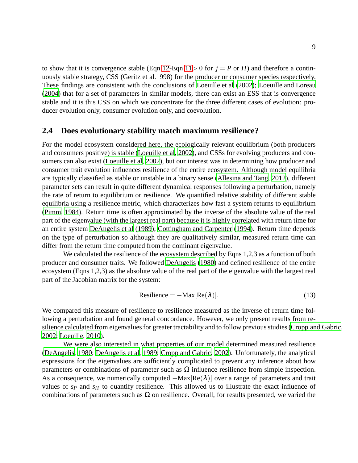to show that it is convergence stable (Eqn [12-](#page-8-2)Eqn [11](#page-8-1) > 0 for  $j = P$  or *H*) and therefore a continuously stable strategy, CSS (Geritz et al.1998) for the producer or consumer species respectively. These findings are consistent with the conclusions of [Loeuille et al](#page-19-11) [\(2002\)](#page-19-11); [Loeuille and Loreau](#page-18-9) [\(2004\)](#page-18-9) that for a set of parameters in similar models, there can exist an ESS that is convergence stable and it is this CSS on which we concentrate for the three different cases of evolution: producer evolution only, consumer evolution only, and coevolution.

#### **2.4 Does evolutionary stability match maximum resilience?**

For the model ecosystem considered here, the ecologically relevant equilibrium (both producers and consumers positive) is stable [\(Loeuille et al](#page-19-11), [2002\)](#page-19-11), and CSSs for evolving producers and consumers can also exist [\(Loeuille et al](#page-19-11), [2002\)](#page-19-11), but our interest was in determining how producer and consumer trait evolution influences resilience of the entire ecosystem. Although model equilibria are typically classified as stable or unstable in a binary sense [\(Allesina and Tang, 2012\)](#page-17-7), different parameter sets can result in quite different dynamical responses following a perturbation, namely the rate of return to equilibrium or resilience. We quantified relative stability of different stable equilibria using a resilience metric, which characterizes how fast a system returns to equilibrium [\(Pimm, 1984\)](#page-19-12). Return time is often approximated by the inverse of the absolute value of the real part of the eigenvalue (with the largest real part) because it is highly correlated with return time for an entire system [DeAngelis et al](#page-17-8) [\(1989\)](#page-17-8); [Cottingham and Carpenter \(1994](#page-17-9)). Return time depends on the type of perturbation so although they are qualitatively similar, measured return time can differ from the return time computed from the dominant eigenvalue.

We calculated the resilience of the ecosystem described by Eqns 1,2,3 as a function of both producer and consumer traits. We followed [DeAngelis \(1980](#page-17-10)) and defined resilience of the entire ecosystem (Eqns 1,2,3) as the absolute value of the real part of the eigenvalue with the largest real part of the Jacobian matrix for the system:

<span id="page-9-0"></span>Resilience = 
$$
-Max[Re(\lambda)]
$$
. (13)

We compared this measure of resilience to resilience measured as the inverse of return time following a perturbation and found general concordance. However, we only present results from resilience calculated from eigenvalues for greater tractability and to follow previous studies [\(Cropp and Gabric](#page-17-4), [2002;](#page-17-4) [Loeuille](#page-18-5), [2010\)](#page-18-5).

We were also interested in what properties of our model determined measured resilience [\(DeAngelis](#page-17-10), [1980](#page-17-10); [DeAngelis et al](#page-17-8), [1989;](#page-17-8) [Cropp and Gabric, 2002](#page-17-4)). Unfortunately, the analytical expressions for the eigenvalues are sufficiently complicated to prevent any inference about how parameters or combinations of parameter such as  $\Omega$  influence resilience from simple inspection. As a consequence, we numerically computed  $-Max[Re(\lambda)]$  over a range of parameters and trait values of  $s_p$  and  $s_f$  to quantify resilience. This allowed us to illustrate the exact influence of combinations of parameters such as  $\Omega$  on resilience. Overall, for results presented, we varied the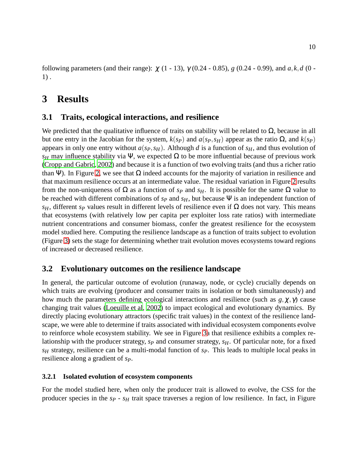following parameters (and their range): χ (1 - 13), γ (0.24 - 0.85), *g* (0.24 - 0.99), and *a*, *k*,*d* (0 - 1) .

## **3 Results**

## **3.1 Traits, ecological interactions, and resilience**

We predicted that the qualitative influence of traits on stability will be related to  $\Omega$ , because in all but one entry in the Jacobian for the system, *k*(*sP*) and *a*(*sP*,*sH*) appear as the ratio Ω, and *k*(*sP*) appears in only one entry without  $a(s_P, s_H)$ . Although *d* is a function of  $s_H$ , and thus evolution of *s<sub>H</sub>* may influence stability via Ψ, we expected  $\Omega$  to be more influential because of previous work [\(Cropp and Gabric, 2002](#page-17-4)) and because it is a function of two evolving traits (and thus a richer ratio than Ψ). In Figure [2,](#page-11-0) we see that  $\Omega$  indeed accounts for the majority of variation in resilience and that maximum resilience occurs at an intermediate value. The residual variation in Figure [2](#page-11-0) results from the non-uniqueness of Ω as a function of  $s_P$  and  $s_H$ . It is possible for the same Ω value to be reached with different combinations of *s<sup>P</sup>* and *sH*, but because Ψ is an independent function of *s<sub>H</sub>*, different *s<sub>P</sub>* values result in different levels of resilience even if Ω does not vary. This means that ecosystems (with relatively low per capita per exploiter loss rate ratios) with intermediate nutrient concentrations and consumer biomass, confer the greatest resilience for the ecosystem model studied here. Computing the resilience landscape as a function of traits subject to evolution (Figure [3\)](#page-12-0) sets the stage for determining whether trait evolution moves ecosystems toward regions of increased or decreased resilience.

## **3.2 Evolutionary outcomes on the resilience landscape**

In general, the particular outcome of evolution (runaway, node, or cycle) crucially depends on which traits are evolving (producer and consumer traits in isolation or both simultaneously) and how much the parameters defining ecological interactions and resilience (such as  $g, \chi, \gamma$ ) cause changing trait values [\(Loeuille et al](#page-19-11), [2002](#page-19-11)) to impact ecological and evolutionary dynamics. By directly placing evolutionary attractors (specific trait values) in the context of the resilience landscape, we were able to determine if traits associated with individual ecosystem components evolve to reinforce whole ecosystem stability. We see in Figure [3a](#page-12-0) that resilience exhibits a complex relationship with the producer strategy, *s<sup>P</sup>* and consumer strategy, *sH*. Of particular note, for a fixed *s<sup>H</sup>* strategy, resilience can be a multi-modal function of *sP*. This leads to multiple local peaks in resilience along a gradient of *sP*.

#### **3.2.1 Isolated evolution of ecosystem components**

For the model studied here, when only the producer trait is allowed to evolve, the CSS for the producer species in the *s<sup>P</sup>* - *s<sup>H</sup>* trait space traverses a region of low resilience. In fact, in Figure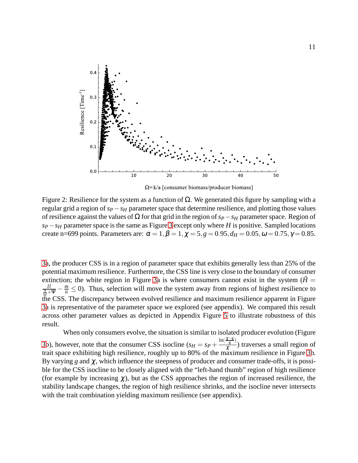<span id="page-11-0"></span>

 $\Omega = k/a$  [consumer biomass/producer biomass]

Figure 2: Resilience for the system as a function of  $Ω$ . We generated this figure by sampling with a regular grid a region of *sP*−*s<sup>H</sup>* parameter space that determine resilience, and plotting those values of resilience against the values of Ω for that grid in the region of*sP*−*s<sup>H</sup>* parameter space. Region of  $s_P - s_H$  parameter space is the same as Figure [3](#page-12-0) except only where *H* is positive. Sampled locations create n=699 points. Parameters are:  $\alpha = 1, \beta = 1, \chi = 5, g = 0.95, d_H = 0.05, \omega = 0.75, \gamma = 0.85$ .

[3a](#page-12-0), the producer CSS is in a region of parameter space that exhibits generally less than 25% of the potential maximum resilience. Furthermore, the CSS line is very close to the boundary of consumer extinction; the white region in Figure [3a](#page-12-0) is where consumers cannot exist in the system  $(\hat{H} =$  $\frac{I}{\frac{q}{\Omega}+\Psi} - \frac{m}{a} \leq 0$ . Thus, selection will move the system away from regions of highest resilience to the CSS. The discrepancy between evolved resilience and maximum resilience apparent in Figure [3a](#page-12-0) is representative of the parameter space we explored (see appendix). We compared this result across other parameter values as depicted in Appendix Figure [5](#page-22-0) to illustrate robustness of this result.

When only consumers evolve, the situation is similar to isolated producer evolution (Figure [3b](#page-12-0)), however, note that the consumer CSS isocline  $(s_H = s_P + \frac{\ln(\frac{\chi - g}{g})}{\gamma})$  $\frac{g}{\chi}$ ) traverses a small region of trait space exhibiting high resilience, roughly up to 80% of the maximum resilience in Figure [3b](#page-12-0). By varying  $g$  and  $\chi$ , which influence the steepness of producer and consumer trade-offs, it is possible for the CSS isocline to be closely aligned with the "left-hand thumb" region of high resilience (for example by increasing  $\chi$ ), but as the CSS approaches the region of increased resilience, the stability landscape changes, the region of high resilience shrinks, and the isocline never intersects with the trait combination yielding maximum resilience (see appendix).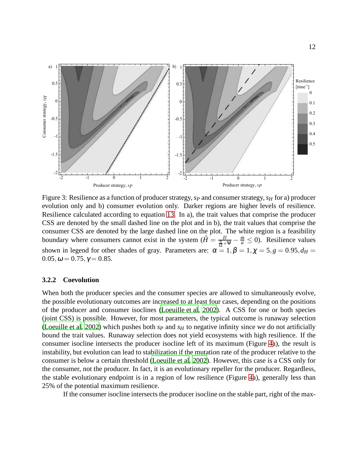<span id="page-12-0"></span>

Figure 3: Resilience as a function of producer strategy,*s<sup>P</sup>* and consumer strategy,*s<sup>H</sup>* for a) producer evolution only and b) consumer evolution only. Darker regions are higher levels of resilience. Resilience calculated according to equation [13.](#page-9-0) In a), the trait values that comprise the producer CSS are denoted by the small dashed line on the plot and in b), the trait values that comprise the consumer CSS are denoted by the large dashed line on the plot. The white region is a feasibility boundary where consumers cannot exist in the system  $(\hat{H} = \frac{I l}{\Omega + \Psi} - \frac{m}{a} \le 0)$ . Resilience values shown in legend for other shades of gray. Parameters are:  $\alpha = 1, \beta = 1, \chi = 5, g = 0.95, d_H =$  $0.05, \omega = 0.75, \gamma = 0.85.$ 

#### **3.2.2 Coevolution**

When both the producer species and the consumer species are allowed to simultaneously evolve, the possible evolutionary outcomes are increased to at least four cases, depending on the positions of the producer and consumer isoclines [\(Loeuille et al](#page-19-11), [2002\)](#page-19-11). A CSS for one or both species (joint CSS) is possible. However, for most parameters, the typical outcome is runaway selection [\(Loeuille et al](#page-19-11), [2002](#page-19-11)) which pushes both  $s_p$  and  $s_H$  to negative infinity since we do not artificially bound the trait values. Runaway selection does not yield ecosystems with high resilience. If the consumer isocline intersects the producer isocline left of its maximum (Figure [4a](#page-13-0)), the result is instability, but evolution can lead to stabilization if the mutation rate of the producer relative to the consumer is below a certain threshold [\(Loeuille et al, 2002\)](#page-19-11). However, this case is a CSS only for the consumer, not the producer. In fact, it is an evolutionary repeller for the producer. Regardless, the stable evolutionary endpoint is in a region of low resilience (Figure [4a](#page-13-0)), generally less than 25% of the potential maximum resilience.

If the consumer isocline intersects the producer isocline on the stable part, right of the max-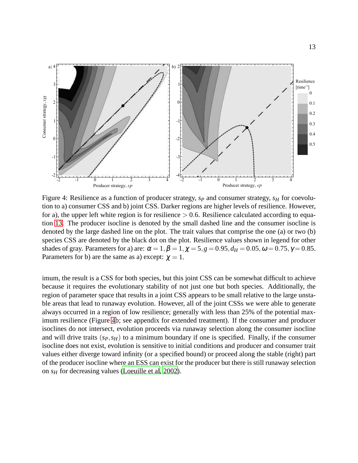<span id="page-13-0"></span>

Figure 4: Resilience as a function of producer strategy,  $s_p$  and consumer strategy,  $s_H$  for coevolution to a) consumer CSS and b) joint CSS. Darker regions are higher levels of resilience. However, for a), the upper left white region is for resilience  $> 0.6$ . Resilience calculated according to equation [13.](#page-9-0) The producer isocline is denoted by the small dashed line and the consumer isocline is denoted by the large dashed line on the plot. The trait values that comprise the one (a) or two (b) species CSS are denoted by the black dot on the plot. Resilience values shown in legend for other shades of gray. Parameters for a) are:  $\alpha = 1, \beta = 1, \chi = 5, g = 0.95, d_H = 0.05, \omega = 0.75, \gamma = 0.85$ . Parameters for b) are the same as a) except:  $\chi = 1$ .

imum, the result is a CSS for both species, but this joint CSS can be somewhat difficult to achieve because it requires the evolutionary stability of not just one but both species. Additionally, the region of parameter space that results in a joint CSS appears to be small relative to the large unstable areas that lead to runaway evolution. However, all of the joint CSSs we were able to generate always occurred in a region of low resilience; generally with less than 25% of the potential maximum resilience (Figure [4b](#page-13-0); see appendix for extended treatment). If the consumer and producer isoclines do not intersect, evolution proceeds via runaway selection along the consumer isocline and will drive traits  $(s_P, s_H)$  to a minimum boundary if one is specified. Finally, if the consumer isocline does not exist, evolution is sensitive to initial conditions and producer and consumer trait values either diverge toward infinity (or a specified bound) or proceed along the stable (right) part of the producer isocline where an ESS can exist for the producer but there is still runaway selection on *s<sup>H</sup>* for decreasing values [\(Loeuille et al](#page-19-11), [2002](#page-19-11)).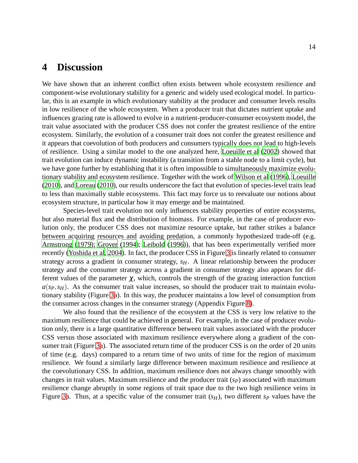## **4 Discussion**

We have shown that an inherent conflict often exists between whole ecosystem resilience and component-wise evolutionary stability for a generic and widely used ecological model. In particular, this is an example in which evolutionary stability at the producer and consumer levels results in low resilience of the whole ecosystem. When a producer trait that dictates nutrient uptake and influences grazing rate is allowed to evolve in a nutrient-producer-consumer ecosystem model, the trait value associated with the producer CSS does not confer the greatest resilience of the entire ecosystem. Similarly, the evolution of a consumer trait does not confer the greatest resilience and it appears that coevolution of both producers and consumers typically does not lead to high-levels of resilience. Using a similar model to the one analyzed here, [Loeuille et al \(2002](#page-19-11)) showed that trait evolution can induce dynamic instability (a transition from a stable node to a limit cycle), but we have gone further by establishing that it is often impossible to simultaneously maximize evolutionary stability and ecosystem resilience. Together with the work of [Wilson et al \(1996](#page-20-6)), [Loeuille](#page-18-5) [\(2010\)](#page-18-5), and [Loreau \(2010\)](#page-19-6), our results underscore the fact that evolution of species-level traits lead to less than maximally stable ecosystems. This fact may force us to reevaluate our notions about ecosystem structure, in particular how it may emerge and be maintained.

Species-level trait evolution not only influences stability properties of entire ecosystems, but also material flux and the distribution of biomass. For example, in the case of producer evolution only, the producer CSS does not maximize resource uptake, but rather strikes a balance between acquiring resources and avoiding predation, a commonly hypothesized trade-off (e.g. [Armstrong \(1979](#page-17-11)); [Grover \(1994](#page-18-12)); [Leibold \(1996](#page-18-13))), that has been experimentally verified more recently [\(Yoshida et al, 2004\)](#page-20-9). In fact, the producer CSS in Figure [3](#page-12-0) is linearly related to consumer strategy across a gradient in consumer strategy, *sH*. A linear relationship between the producer strategy and the consumer strategy across a gradient in consumer strategy also appears for different values of the parameter  $\chi$ , which, controls the strength of the grazing interaction function  $a(s_P, s_H)$ . As the consumer trait value increases, so should the producer trait to maintain evolutionary stability (Figure [3a](#page-12-0)). In this way, the producer maintains a low level of consumption from the consumer across changes in the consumer strategy (Appendix Figure [8\)](#page-26-0).

We also found that the resilience of the ecosystem at the CSS is very low relative to the maximum resilience that could be achieved in general. For example, in the case of producer evolution only, there is a large quantitative difference between trait values associated with the producer CSS versus those associated with maximum resilience everywhere along a gradient of the con-sumer trait (Figure [3a](#page-12-0)). The associated return time of the producer CSS is on the order of 20 units of time (e.g. days) compared to a return time of two units of time for the region of maximum resilience. We found a similarly large difference between maximum resilience and resilience at the coevolutionary CSS. In addition, maximum resilience does not always change smoothly with changes in trait values. Maximum resilience and the producer trait (*sP*) associated with maximum resilience change abruptly in some regions of trait space due to the two high resilience veins in Figure [3a](#page-12-0). Thus, at a specific value of the consumer trait  $(s_H)$ , two different  $s_P$  values have the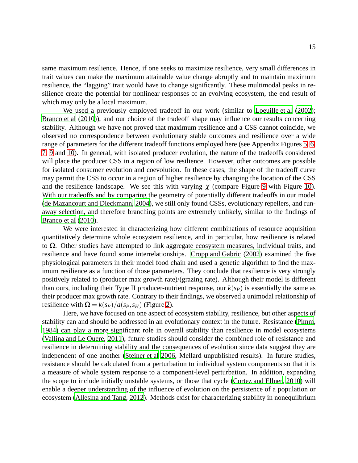same maximum resilience. Hence, if one seeks to maximize resilience, very small differences in trait values can make the maximum attainable value change abruptly and to maintain maximum resilience, the "lagging" trait would have to change significantly. These multimodal peaks in resilience create the potential for nonlinear responses of an evolving ecosystem, the end result of which may only be a local maximum.

We used a previously employed tradeoff in our work (similar to [Loeuille et al](#page-19-11) [\(2002\)](#page-19-11); [Branco et al](#page-17-5) [\(2010\)](#page-17-5)), and our choice of the tradeoff shape may influence our results concerning stability. Although we have not proved that maximum resilience and a CSS cannot coincide, we observed no correspondence between evolutionary stable outcomes and resilience over a wide range of parameters for the different tradeoff functions employed here (see Appendix Figures [5,](#page-22-0) [6,](#page-23-0) [7,](#page-24-0) [9](#page-27-0) and [10\)](#page-28-0). In general, with isolated producer evolution, the nature of the tradeoffs considered will place the producer CSS in a region of low resilience. However, other outcomes are possible for isolated consumer evolution and coevolution. In these cases, the shape of the tradeoff curve may permit the CSS to occur in a region of higher resilience by changing the location of the CSS and the resilience landscape. We see this with varying  $\gamma$  (compare Figure [9](#page-27-0) with Figure [10\)](#page-28-0). With our tradeoffs and by comparing the geometry of potentially different tradeoffs in our model [\(de Mazancourt and Dieckmann, 2004\)](#page-19-13), we still only found CSSs, evolutionary repellers, and runaway selection, and therefore branching points are extremely unlikely, similar to the findings of [Branco et al](#page-17-5) [\(2010\)](#page-17-5).

We were interested in characterizing how different combinations of resource acquisition quantitatively determine whole ecosystem resilience, and in particular, how resilience is related to  $Ω$ . Other studies have attempted to link aggregate ecosystem measures, individual traits, and resilience and have found some interrelationships. [Cropp and Gabric \(2002](#page-17-4)) examined the five physiological parameters in their model food chain and used a genetic algorithm to find the maximum resilience as a function of those parameters. They conclude that resilience is very strongly positively related to (producer max growth rate)/(grazing rate). Although their model is different than ours, including their Type II producer-nutrient response, our  $k(sp)$  is essentially the same as their producer max growth rate. Contrary to their findings, we observed a unimodal relationship of resilience with  $\Omega = k(sp)/a(sp, s_H)$  (Figure [2\)](#page-11-0).

Here, we have focused on one aspect of ecosystem stability, resilience, but other aspects of stability can and should be addressed in an evolutionary context in the future. Resistance [\(Pimm](#page-19-12), [1984\)](#page-19-12) can play a more significant role in overall stability than resilience in model ecosystems [\(Vallina and Le Quere, 2011](#page-20-3)), future studies should consider the combined role of resistance and resilience in determining stability and the consequences of evolution since data suggest they are independent of one another [\(Steiner et al 2006,](#page-19-14) Mellard unpublished results). In future studies, resistance should be calculated from a perturbation to individual system components so that it is a measure of whole system response to a component-level perturbation. In addition, expanding the scope to include initially unstable systems, or those that cycle [\(Cortez and Ellner](#page-17-12), [2010\)](#page-17-12) will enable a deeper understanding of the influence of evolution on the persistence of a population or ecosystem [\(Allesina and Tang, 2012\)](#page-17-7). Methods exist for characterizing stability in nonequilbrium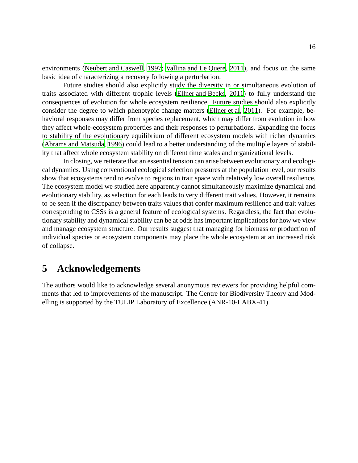environments [\(Neubert and Caswell](#page-19-15), [1997](#page-19-15); [Vallina and Le Quere, 2011](#page-20-3)), and focus on the same basic idea of characterizing a recovery following a perturbation.

Future studies should also explicitly study the diversity in or simultaneous evolution of traits associated with different trophic levels [\(Ellner and Becks, 2011\)](#page-17-13) to fully understand the consequences of evolution for whole ecosystem resilience. Future studies should also explicitly consider the degree to which phenotypic change matters [\(Ellner et al](#page-18-14), [2011\)](#page-18-14). For example, behavioral responses may differ from species replacement, which may differ from evolution in how they affect whole-ecosystem properties and their responses to perturbations. Expanding the focus to stability of the evolutionary equilibrium of different ecosystem models with richer dynamics [\(Abrams and Matsuda](#page-17-14), [1996](#page-17-14)) could lead to a better understanding of the multiple layers of stability that affect whole ecosystem stability on different time scales and organizational levels.

In closing, we reiterate that an essential tension can arise between evolutionary and ecological dynamics. Using conventional ecological selection pressures at the population level, our results show that ecosystems tend to evolve to regions in trait space with relatively low overall resilience. The ecosystem model we studied here apparently cannot simultaneously maximize dynamical and evolutionary stability, as selection for each leads to very different trait values. However, it remains to be seen if the discrepancy between traits values that confer maximum resilience and trait values corresponding to CSSs is a general feature of ecological systems. Regardless, the fact that evolutionary stability and dynamical stability can be at odds has important implications for how we view and manage ecosystem structure. Our results suggest that managing for biomass or production of individual species or ecosystem components may place the whole ecosystem at an increased risk of collapse.

## **5 Acknowledgements**

The authors would like to acknowledge several anonymous reviewers for providing helpful comments that led to improvements of the manuscript. The Centre for Biodiversity Theory and Modelling is supported by the TULIP Laboratory of Excellence (ANR-10-LABX-41).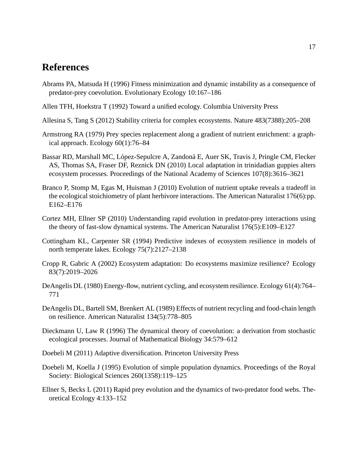## **References**

- <span id="page-17-14"></span>Abrams PA, Matsuda H (1996) Fitness minimization and dynamic instability as a consequence of predator-prey coevolution. Evolutionary Ecology 10:167–186
- <span id="page-17-0"></span>Allen TFH, Hoekstra T (1992) Toward a unified ecology. Columbia University Press
- <span id="page-17-7"></span>Allesina S, Tang S (2012) Stability criteria for complex ecosystems. Nature 483(7388):205–208
- <span id="page-17-11"></span>Armstrong RA (1979) Prey species replacement along a gradient of nutrient enrichment: a graphical approach. Ecology 60(1):76–84
- <span id="page-17-1"></span>Bassar RD, Marshall MC, López-Sepulcre A, Zandonà E, Auer SK, Travis J, Pringle CM, Flecker AS, Thomas SA, Fraser DF, Reznick DN (2010) Local adaptation in trinidadian guppies alters ecosystem processes. Proceedings of the National Academy of Sciences 107(8):3616–3621
- <span id="page-17-5"></span>Branco P, Stomp M, Egas M, Huisman J (2010) Evolution of nutrient uptake reveals a tradeoff in the ecological stoichiometry of plant herbivore interactions. The American Naturalist 176(6):pp. E162–E176
- <span id="page-17-12"></span>Cortez MH, Ellner SP (2010) Understanding rapid evolution in predator-prey interactions using the theory of fast-slow dynamical systems. The American Naturalist 176(5):E109–E127
- <span id="page-17-9"></span>Cottingham KL, Carpenter SR (1994) Predictive indexes of ecosystem resilience in models of north temperate lakes. Ecology 75(7):2127–2138
- <span id="page-17-4"></span>Cropp R, Gabric A (2002) Ecosystem adaptation: Do ecosystems maximize resilience? Ecology 83(7):2019–2026
- <span id="page-17-10"></span>DeAngelis DL (1980) Energy-flow, nutrient cycling, and ecosystem resilience. Ecology 61(4):764– 771
- <span id="page-17-8"></span>DeAngelis DL, Bartell SM, Brenkert AL (1989) Effects of nutrient recycling and food-chain length on resilience. American Naturalist 134(5):778–805
- <span id="page-17-6"></span>Dieckmann U, Law R (1996) The dynamical theory of coevolution: a derivation from stochastic ecological processes. Journal of Mathematical Biology 34:579–612
- <span id="page-17-3"></span>Doebeli M (2011) Adaptive diversification. Princeton University Press
- <span id="page-17-2"></span>Doebeli M, Koella J (1995) Evolution of simple population dynamics. Proceedings of the Royal Society: Biological Sciences 260(1358):119–125
- <span id="page-17-13"></span>Ellner S, Becks L (2011) Rapid prey evolution and the dynamics of two-predator food webs. Theoretical Ecology 4:133–152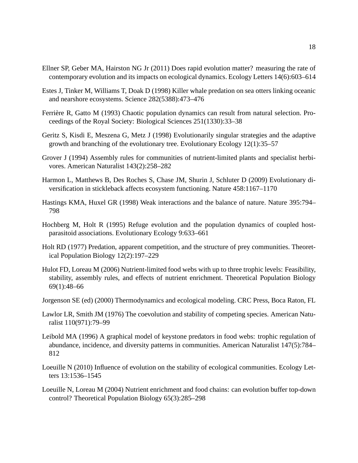- <span id="page-18-14"></span>Ellner SP, Geber MA, Hairston NG Jr (2011) Does rapid evolution matter? measuring the rate of contemporary evolution and its impacts on ecological dynamics. Ecology Letters 14(6):603–614
- <span id="page-18-2"></span>Estes J, Tinker M, Williams T, Doak D (1998) Killer whale predation on sea otters linking oceanic and nearshore ecosystems. Science 282(5388):473–476
- <span id="page-18-3"></span>Ferrière R, Gatto M (1993) Chaotic population dynamics can result from natural selection. Proceedings of the Royal Society: Biological Sciences 251(1330):33–38
- <span id="page-18-11"></span>Geritz S, Kisdi E, Meszena G, Metz J (1998) Evolutionarily singular strategies and the adaptive growth and branching of the evolutionary tree. Evolutionary Ecology 12(1):35–57
- <span id="page-18-12"></span>Grover J (1994) Assembly rules for communities of nutrient-limited plants and specialist herbivores. American Naturalist 143(2):258–282
- <span id="page-18-0"></span>Harmon L, Matthews B, Des Roches S, Chase JM, Shurin J, Schluter D (2009) Evolutionary diversification in stickleback affects ecosystem functioning. Nature 458:1167–1170
- <span id="page-18-1"></span>Hastings KMA, Huxel GR (1998) Weak interactions and the balance of nature. Nature 395:794– 798
- <span id="page-18-4"></span>Hochberg M, Holt R (1995) Refuge evolution and the population dynamics of coupled hostparasitoid associations. Evolutionary Ecology 9:633–661
- <span id="page-18-8"></span>Holt RD (1977) Predation, apparent competition, and the structure of prey communities. Theoretical Population Biology 12(2):197–229
- <span id="page-18-10"></span>Hulot FD, Loreau M (2006) Nutrient-limited food webs with up to three trophic levels: Feasibility, stability, assembly rules, and effects of nutrient enrichment. Theoretical Population Biology 69(1):48–66
- <span id="page-18-7"></span>Jorgenson SE (ed) (2000) Thermodynamics and ecological modeling. CRC Press, Boca Raton, FL
- <span id="page-18-6"></span>Lawlor LR, Smith JM (1976) The coevolution and stability of competing species. American Naturalist 110(971):79–99
- <span id="page-18-13"></span>Leibold MA (1996) A graphical model of keystone predators in food webs: trophic regulation of abundance, incidence, and diversity patterns in communities. American Naturalist 147(5):784– 812
- <span id="page-18-5"></span>Loeuille N (2010) Influence of evolution on the stability of ecological communities. Ecology Letters 13:1536–1545
- <span id="page-18-9"></span>Loeuille N, Loreau M (2004) Nutrient enrichment and food chains: can evolution buffer top-down control? Theoretical Population Biology 65(3):285–298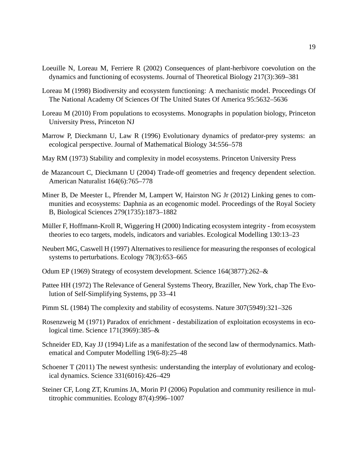- <span id="page-19-11"></span>Loeuille N, Loreau M, Ferriere R (2002) Consequences of plant-herbivore coevolution on the dynamics and functioning of ecosystems. Journal of Theoretical Biology 217(3):369–381
- <span id="page-19-3"></span>Loreau M (1998) Biodiversity and ecosystem functioning: A mechanistic model. Proceedings Of The National Academy Of Sciences Of The United States Of America 95:5632–5636
- <span id="page-19-6"></span>Loreau M (2010) From populations to ecosystems. Monographs in population biology, Princeton University Press, Princeton NJ
- <span id="page-19-5"></span>Marrow P, Dieckmann U, Law R (1996) Evolutionary dynamics of predator-prey systems: an ecological perspective. Journal of Mathematical Biology 34:556–578
- <span id="page-19-2"></span>May RM (1973) Stability and complexity in model ecosystems. Princeton University Press
- <span id="page-19-13"></span>de Mazancourt C, Dieckmann U (2004) Trade-off geometries and freqency dependent selection. American Naturalist 164(6):765–778
- <span id="page-19-4"></span>Miner B, De Meester L, Pfrender M, Lampert W, Hairston NG Jr (2012) Linking genes to communities and ecosystems: Daphnia as an ecogenomic model. Proceedings of the Royal Society B, Biological Sciences 279(1735):1873–1882
- <span id="page-19-9"></span>Müller F, Hoffmann-Kroll R, Wiggering H (2000) Indicating ecosystem integrity - from ecosystem theories to eco targets, models, indicators and variables. Ecological Modelling 130:13–23
- <span id="page-19-15"></span>Neubert MG, Caswell H (1997) Alternatives to resilience for measuring the responses of ecological systems to perturbations. Ecology 78(3):653–665
- <span id="page-19-0"></span>Odum EP (1969) Strategy of ecosystem development. Science 164(3877):262–&
- <span id="page-19-10"></span>Pattee HH (1972) The Relevance of General Systems Theory, Braziller, New York, chap The Evolution of Self-Simplifying Systems, pp 33–41
- <span id="page-19-12"></span>Pimm SL (1984) The complexity and stability of ecosystems. Nature 307(5949):321–326
- <span id="page-19-7"></span>Rosenzweig M (1971) Paradox of enrichment - destabilization of exploitation ecosystems in ecological time. Science 171(3969):385–&
- <span id="page-19-8"></span>Schneider ED, Kay JJ (1994) Life as a manifestation of the second law of thermodynamics. Mathematical and Computer Modelling 19(6-8):25–48
- <span id="page-19-1"></span>Schoener T (2011) The newest synthesis: understanding the interplay of evolutionary and ecological dynamics. Science 331(6016):426–429
- <span id="page-19-14"></span>Steiner CF, Long ZT, Krumins JA, Morin PJ (2006) Population and community resilience in multitrophic communities. Ecology 87(4):996–1007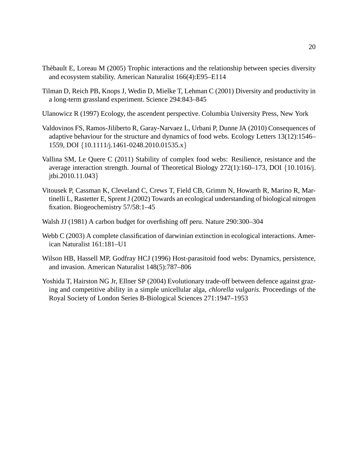- <span id="page-20-2"></span>Thèbault E, Loreau M (2005) Trophic interactions and the relationship between species diversity and ecosystem stability. American Naturalist 166(4):E95–E114
- <span id="page-20-0"></span>Tilman D, Reich PB, Knops J, Wedin D, Mielke T, Lehman C (2001) Diversity and productivity in a long-term grassland experiment. Science 294:843–845
- <span id="page-20-8"></span>Ulanowicz R (1997) Ecology, the ascendent perspective. Columbia University Press, New York
- <span id="page-20-5"></span>Valdovinos FS, Ramos-Jiliberto R, Garay-Narvaez L, Urbani P, Dunne JA (2010) Consequences of adaptive behaviour for the structure and dynamics of food webs. Ecology Letters 13(12):1546– 1559, DOI {10.1111/j.1461-0248.2010.01535.x}
- <span id="page-20-3"></span>Vallina SM, Le Quere C (2011) Stability of complex food webs: Resilience, resistance and the average interaction strength. Journal of Theoretical Biology 272(1):160–173, DOI {10.1016/j. jtbi.2010.11.043}
- <span id="page-20-1"></span>Vitousek P, Cassman K, Cleveland C, Crews T, Field CB, Grimm N, Howarth R, Marino R, Martinelli L, Rastetter E, Sprent J (2002) Towards an ecological understanding of biological nitrogen fixation. Biogeochemistry 57/58:1–45
- <span id="page-20-4"></span>Walsh JJ (1981) A carbon budget for overfishing off peru. Nature 290:300–304
- <span id="page-20-7"></span>Webb C (2003) A complete classification of darwinian extinction in ecological interactions. American Naturalist 161:181–U1
- <span id="page-20-6"></span>Wilson HB, Hassell MP, Godfray HCJ (1996) Host-parasitoid food webs: Dynamics, persistence, and invasion. American Naturalist 148(5):787–806
- <span id="page-20-9"></span>Yoshida T, Hairston NG Jr, Ellner SP (2004) Evolutionary trade-off between defence against grazing and competitive ability in a simple unicellular alga, *chlorella vulgaris*. Proceedings of the Royal Society of London Series B-Biological Sciences 271:1947–1953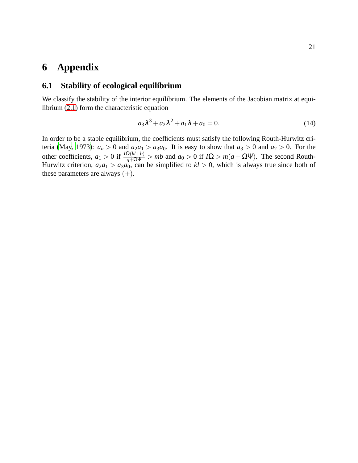## **6 Appendix**

## **6.1 Stability of ecological equilibrium**

We classify the stability of the interior equilibrium. The elements of the Jacobian matrix at equilibrium [\(2.1\)](#page-3-0) form the characteristic equation

$$
a_3\lambda^3 + a_2\lambda^2 + a_1\lambda + a_0 = 0.
$$
 (14)

In order to be a stable equilibrium, the coefficients must satisfy the following Routh-Hurwitz cri-teria [\(May](#page-19-2), [1973\)](#page-19-2):  $a_n > 0$  and  $a_2a_1 > a_3a_0$ . It is easy to show that  $a_3 > 0$  and  $a_2 > 0$ . For the other coefficients,  $a_1 > 0$  if  $\frac{I\Omega(kl+b)}{q+\Omega\Psi} > mb$  and  $a_0 > 0$  if  $I\Omega > m(q+\Omega\Psi)$ . The second Routh-Hurwitz criterion,  $a_2a_1 > a_3a_0$ , can be simplified to  $kl > 0$ , which is always true since both of these parameters are always  $(+)$ .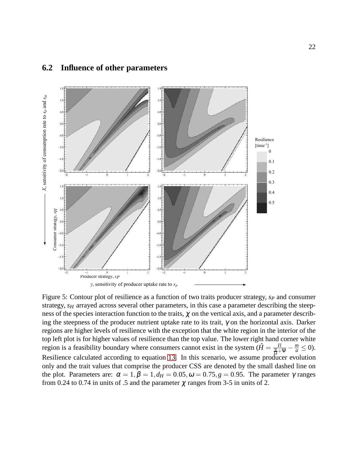

### <span id="page-22-0"></span>**6.2 Influence of other parameters**

Figure 5: Contour plot of resilience as a function of two traits producer strategy, *s<sup>P</sup>* and consumer strategy, *s<sub>H</sub>* arrayed across several other parameters, in this case a parameter describing the steepness of the species interaction function to the traits,  $\chi$  on the vertical axis, and a parameter describing the steepness of the producer nutrient uptake rate to its trait,  $\gamma$  on the horizontal axis. Darker regions are higher levels of resilience with the exception that the white region in the interior of the top left plot is for higher values of resilience than the top value. The lower right hand corner white region is a feasibility boundary where consumers cannot exist in the system  $(\hat{H} = \frac{Il}{\frac{q}{\Omega} + \Psi} - \frac{m}{a} \le 0)$ . Resilience calculated according to equation [13.](#page-9-0) In this scenario, we assume producer evolution only and the trait values that comprise the producer CSS are denoted by the small dashed line on the plot. Parameters are:  $\alpha = 1, \beta = 1, d_H = 0.05, \omega = 0.75, g = 0.95$ . The parameter  $\gamma$  ranges from 0.24 to 0.74 in units of .5 and the parameter  $\chi$  ranges from 3-5 in units of 2.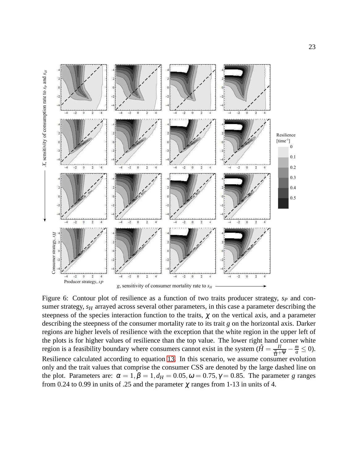<span id="page-23-0"></span>

Figure 6: Contour plot of resilience as a function of two traits producer strategy, *s<sup>P</sup>* and consumer strategy,  $s_H$  arrayed across several other parameters, in this case a parameter describing the steepness of the species interaction function to the traits,  $\chi$  on the vertical axis, and a parameter describing the steepness of the consumer mortality rate to its trait *g* on the horizontal axis. Darker regions are higher levels of resilience with the exception that the white region in the upper left of the plots is for higher values of resilience than the top value. The lower right hand corner white region is a feasibility boundary where consumers cannot exist in the system  $(\hat{H} = \frac{I l}{\frac{q}{\Omega} + \Psi} - \frac{m}{a} \le 0)$ . Resilience calculated according to equation [13.](#page-9-0) In this scenario, we assume consumer evolution only and the trait values that comprise the consumer CSS are denoted by the large dashed line on the plot. Parameters are:  $\alpha = 1, \beta = 1, d_H = 0.05, \omega = 0.75, \gamma = 0.85$ . The parameter *g* ranges from 0.24 to 0.99 in units of .25 and the parameter  $\chi$  ranges from 1-13 in units of 4.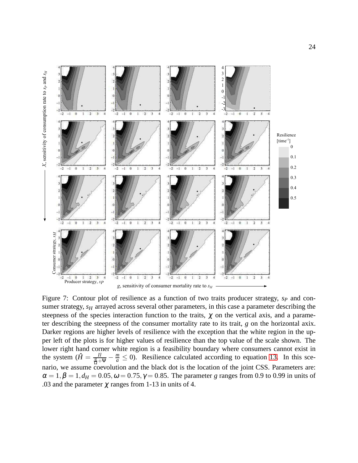<span id="page-24-0"></span>

Figure 7: Contour plot of resilience as a function of two traits producer strategy,  $s_P$  and consumer strategy,  $s_H$  arrayed across several other parameters, in this case a parameter describing the steepness of the species interaction function to the traits,  $\chi$  on the vertical axis, and a parameter describing the steepness of the consumer mortality rate to its trait, *g* on the horizontal axix. Darker regions are higher levels of resilience with the exception that the white region in the upper left of the plots is for higher values of resilience than the top value of the scale shown. The lower right hand corner white region is a feasibility boundary where consumers cannot exist in the system  $(\hat{H} = \frac{Il}{\frac{q}{\Omega} + \Psi} - \frac{m}{a} \le 0)$ . Resilience calculated according to equation [13.](#page-9-0) In this scenario, we assume coevolution and the black dot is the location of the joint CSS. Parameters are:  $\alpha = 1, \beta = 1, d_H = 0.05, \omega = 0.75, \gamma = 0.85$ . The parameter *g* ranges from 0.9 to 0.99 in units of .03 and the parameter  $\chi$  ranges from 1-13 in units of 4.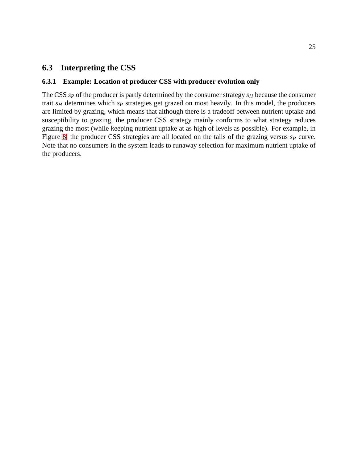## **6.3 Interpreting the CSS**

### **6.3.1 Example: Location of producer CSS with producer evolution only**

The CSS *s<sup>P</sup>* of the producer is partly determined by the consumer strategy *s<sup>H</sup>* because the consumer trait *s<sup>H</sup>* determines which *s<sup>P</sup>* strategies get grazed on most heavily. In this model, the producers are limited by grazing, which means that although there is a tradeoff between nutrient uptake and susceptibility to grazing, the producer CSS strategy mainly conforms to what strategy reduces grazing the most (while keeping nutrient uptake at as high of levels as possible). For example, in Figure [8,](#page-26-0) the producer CSS strategies are all located on the tails of the grazing versus *s<sup>P</sup>* curve. Note that no consumers in the system leads to runaway selection for maximum nutrient uptake of the producers.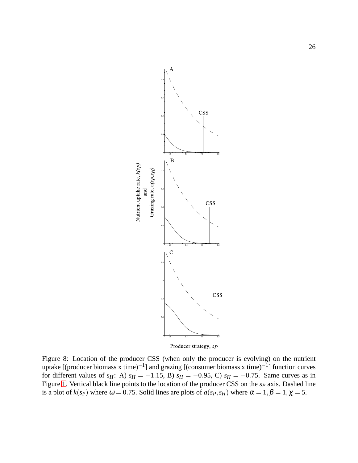<span id="page-26-0"></span>

Producer strategy, sp

Figure 8: Location of the producer CSS (when only the producer is evolving) on the nutrient uptake [(producer biomass x time)<sup>-1</sup>] and grazing [(consumer biomass x time)<sup>-1</sup>] function curves for different values of *s<sub>H</sub>*: A)  $s_H = -1.15$ , B)  $s_H = -0.95$ , C)  $s_H = -0.75$ . Same curves as in Figure [1.](#page-6-0) Vertical black line points to the location of the producer CSS on the *s<sup>P</sup>* axis. Dashed line is a plot of  $k(sp)$  where  $\omega = 0.75$ . Solid lines are plots of  $a(sp, s_H)$  where  $\alpha = 1, \beta = 1, \chi = 5$ .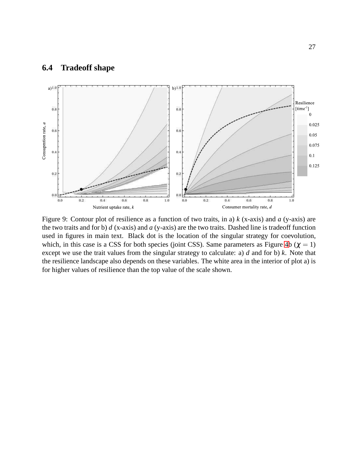## **6.4 Tradeoff shape**

<span id="page-27-0"></span>

Figure 9: Contour plot of resilience as a function of two traits, in a) *k* (x-axis) and *a* (y-axis) are the two traits and for b) *d* (x-axis) and *a* (y-axis) are the two traits. Dashed line is tradeoff function used in figures in main text. Black dot is the location of the singular strategy for coevolution, which, in this case is a CSS for both species (joint CSS). Same parameters as Figure [4b](#page-13-0) ( $\chi = 1$ ) except we use the trait values from the singular strategy to calculate: a) *d* and for b) *k*. Note that the resilience landscape also depends on these variables. The white area in the interior of plot a) is for higher values of resilience than the top value of the scale shown.